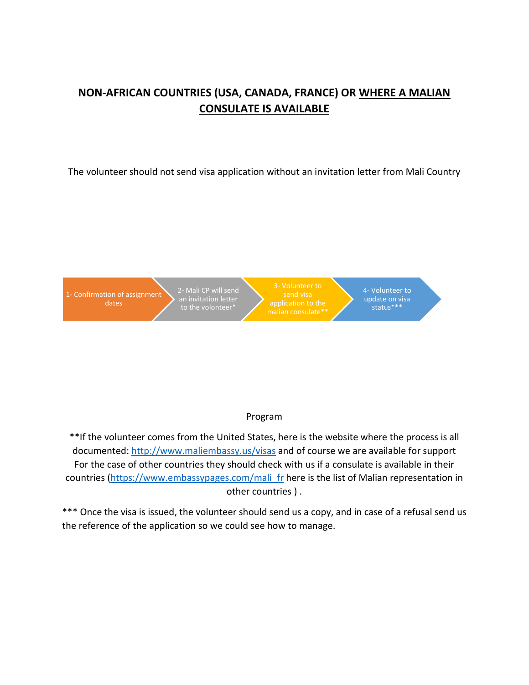## **NON-AFRICAN COUNTRIES (USA, CANADA, FRANCE) OR WHERE A MALIAN CONSULATE IS AVAILABLE**

The volunteer should not send visa application without an invitation letter from Mali Country



## Program

\*\*If the volunteer comes from the United States, here is the website where the process is all documented:<http://www.maliembassy.us/visas> and of course we are available for support For the case of other countries they should check with us if a consulate is available in their countries [\(https://www.embassypages.com/mali\\_fr](https://www.embassypages.com/mali_fr) here is the list of Malian representation in other countries ) .

\*\*\* Once the visa is issued, the volunteer should send us a copy, and in case of a refusal send us the reference of the application so we could see how to manage.